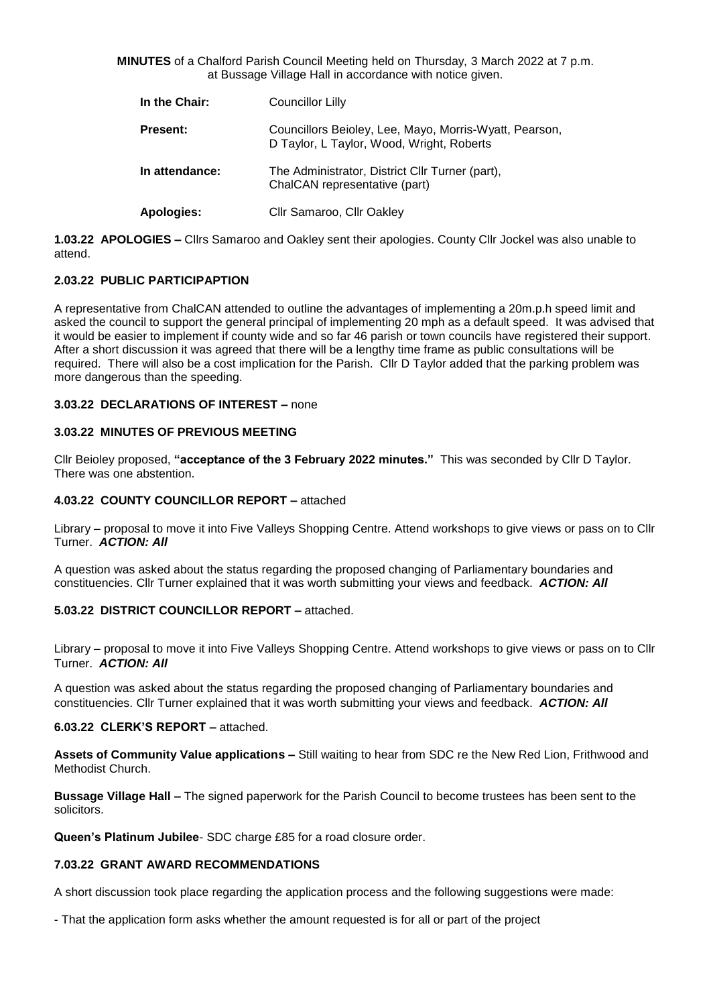**MINUTES** of a Chalford Parish Council Meeting held on Thursday, 3 March 2022 at 7 p.m. at Bussage Village Hall in accordance with notice given.

| In the Chair:   | Councillor Lilly                                                                                    |
|-----------------|-----------------------------------------------------------------------------------------------------|
| <b>Present:</b> | Councillors Beioley, Lee, Mayo, Morris-Wyatt, Pearson,<br>D Taylor, L Taylor, Wood, Wright, Roberts |
| In attendance:  | The Administrator, District Cllr Turner (part),<br>ChalCAN representative (part)                    |
| Apologies:      | Cllr Samaroo, Cllr Oakley                                                                           |

**1.03.22 APOLOGIES –** Cllrs Samaroo and Oakley sent their apologies. County Cllr Jockel was also unable to attend.

# **2.03.22 PUBLIC PARTICIPAPTION**

A representative from ChalCAN attended to outline the advantages of implementing a 20m.p.h speed limit and asked the council to support the general principal of implementing 20 mph as a default speed. It was advised that it would be easier to implement if county wide and so far 46 parish or town councils have registered their support. After a short discussion it was agreed that there will be a lengthy time frame as public consultations will be required. There will also be a cost implication for the Parish. Cllr D Taylor added that the parking problem was more dangerous than the speeding.

# **3.03.22 DECLARATIONS OF INTEREST –** none

### **3.03.22 MINUTES OF PREVIOUS MEETING**

Cllr Beioley proposed, **"acceptance of the 3 February 2022 minutes."** This was seconded by Cllr D Taylor. There was one abstention.

#### **4.03.22 COUNTY COUNCILLOR REPORT –** attached

Library – proposal to move it into Five Valleys Shopping Centre. Attend workshops to give views or pass on to Cllr Turner. *ACTION: All*

A question was asked about the status regarding the proposed changing of Parliamentary boundaries and constituencies. Cllr Turner explained that it was worth submitting your views and feedback. *ACTION: All*

### **5.03.22 DISTRICT COUNCILLOR REPORT –** attached.

Library – proposal to move it into Five Valleys Shopping Centre. Attend workshops to give views or pass on to Cllr Turner. *ACTION: All*

A question was asked about the status regarding the proposed changing of Parliamentary boundaries and constituencies. Cllr Turner explained that it was worth submitting your views and feedback. *ACTION: All*

#### **6.03.22 CLERK'S REPORT –** attached.

**Assets of Community Value applications –** Still waiting to hear from SDC re the New Red Lion, Frithwood and Methodist Church.

**Bussage Village Hall –** The signed paperwork for the Parish Council to become trustees has been sent to the solicitors.

**Queen's Platinum Jubilee**- SDC charge £85 for a road closure order.

### **7.03.22 GRANT AWARD RECOMMENDATIONS**

A short discussion took place regarding the application process and the following suggestions were made:

- That the application form asks whether the amount requested is for all or part of the project